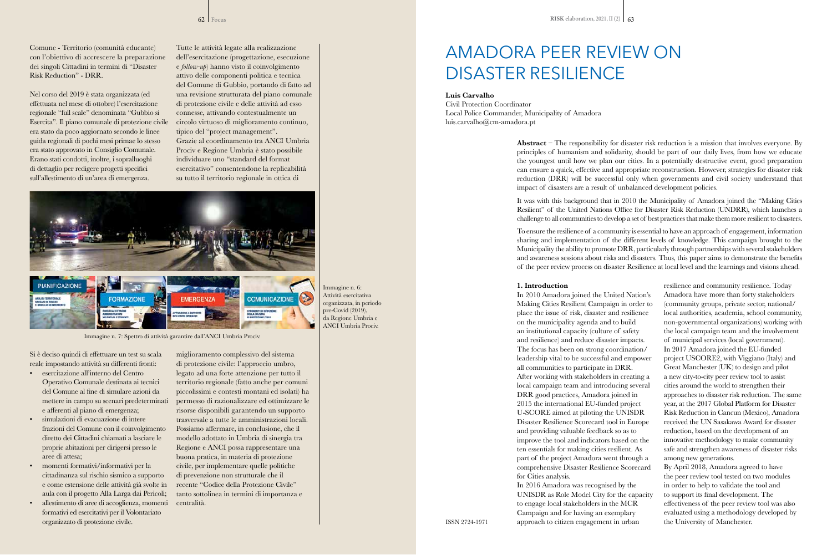# AMADORA PEER REVIEW ON DISASTER RESILIENCE

### **Luis Carvalho**

Civil Protection Coordinator Local Police Commander, Municipality of Amadora luis.carvalho@cm-amadora.pt

> **Abstract** – The responsibility for disaster risk reduction is a mission that involves everyone. By principles of humanism and solidarity, should be part of our daily lives, from how we educate the youngest until how we plan our cities. In a potentially destructive event, good preparation can ensure a quick, effective and appropriate reconstruction. However, strategies for disaster risk reduction (DRR) will be successful only when governments and civil society understand that impact of disasters are a result of unbalanced development policies.

> It was with this background that in 2010 the Municipality of Amadora joined the "Making Cities Resilient" of the United Nations Office for Disaster Risk Reduction (UNDRR), which launches a challenge to all communities to develop a set of best practices that make them more resilient to disasters.

> To ensure the resilience of a community is essential to have an approach of engagement, information sharing and implementation of the different levels of knowledge. This campaign brought to the Municipality the ability to promote DRR, particularly through partnerships with several stakeholders and awareness sessions about risks and disasters. Thus, this paper aims to demonstrate the benefits of the peer review process on disaster Resilience at local level and the learnings and visions ahead.

#### **1. Introduction**

In 2010 Amadora joined the United Nation's Making Cities Resilient Campaign in order to place the issue of risk, disaster and resilience on the municipality agenda and to build an institutional capacity (culture of safety and resilience) and reduce disaster impacts. The focus has been on strong coordination/ leadership vital to be successful and empower all communities to participate in DRR. After working with stakeholders in creating a local campaign team and introducing several DRR good practices, Amadora joined in 2015 the international EU-funded project U-SCORE aimed at piloting the UNISDR Disaster Resilience Scorecard tool in Europe and providing valuable feedback so as to improve the tool and indicators based on the ten essentials for making cities resilient. As part of the project Amadora went through a comprehensive Disaster Resilience Scorecard for Cities analysis.

In 2016 Amadora was recognised by the UNISDR as Role Model City for the capacity to engage local stakeholders in the MCR Campaign and for having an exemplary approach to citizen engagement in urban

resilience and community resilience. Today Amadora have more than forty stakeholders (community groups, private sector, national/ local authorities, academia, school community, non-governmental organizations) working with the local campaign team and the involvement of municipal services (local government). In 2017 Amadora joined the EU-funded project USCORE2, with Viggiano (Italy) and Great Manchester (UK) to design and pilot a new city-to-city peer review tool to assist cities around the world to strengthen their approaches to disaster risk reduction. The same year, at the 2017 Global Platform for Disaster Risk Reduction in Cancun (Mexico), Amadora received the UN Sasakawa Award for disaster reduction, based on the development of an innovative methodology to make community safe and strengthen awareness of disaster risks among new generations.

By April 2018, Amadora agreed to have the peer review tool tested on two modules in order to help to validate the tool and to support its final development. The effectiveness of the peer review tool was also evaluated using a methodology developed by the University of Manchester.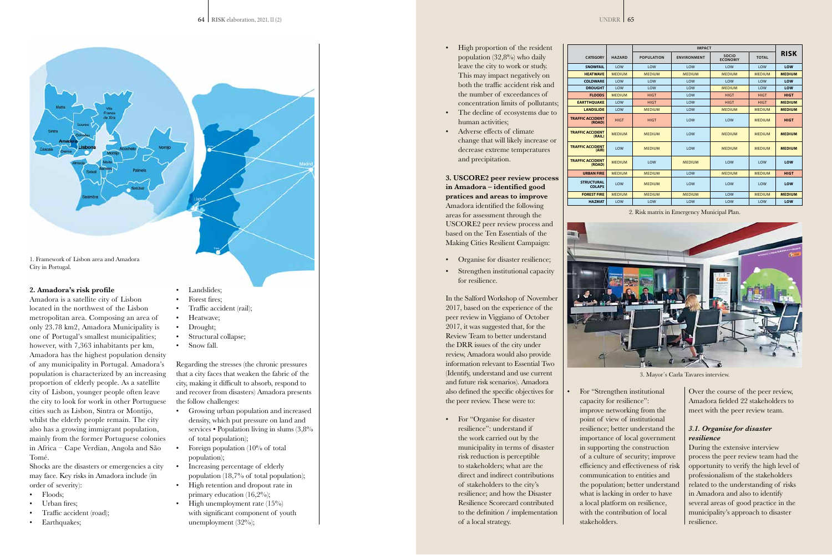#### **2. Amadora's risk profile**

Amadora is a satellite city of Lisbon located in the northwest of the Lisbon metropolitan area. Composing an area of only 23.78 km2, Amadora Municipality is one of Portugal's smallest municipalities; however, with 7,363 inhabitants per km, Amadora has the highest population density of any municipality in Portugal. Amadora's population is characterized by an increasing proportion of elderly people. As a satellite city of Lisbon, younger people often leave the city to look for work in other Portuguese cities such as Lisbon, Sintra or Montijo, whilst the elderly people remain. The city also has a growing immigrant population, mainly from the former Portuguese colonies in Africa – Cape Verdian, Angola and São Tomé.

- Landslides: Forest fires;
- Traffic accident (rail);
- Heatwave;
- Drought;
- 
- Structural collapse;
- Snow fall.

Shocks are the disasters or emergencies a city may face. Key risks in Amadora include (in order of severity):

- Floods;
- Urban fires;
- Traffic accident (road);
- Earthquakes;

Regarding the stresses (the chronic pressures that a city faces that weaken the fabric of the city, making it difficult to absorb, respond to and recover from disasters) Amadora presents the follow challenges:

- Growing urban population and increased density, which put pressure on land and services • Population living in slums  $(3,8\%$ of total population);
- Foreign population (10% of total population);
- Increasing percentage of elderly population (18,7% of total population);
- High retention and dropout rate in primary education (16,2%);
- High unemployment rate  $(15\%)$ with significant component of youth unemployment (32%);



1. Framework of Lisbon area and Amadora City in Portugal.

- High proportion of the resident population (32,8%) who daily leave the city to work or study. This may impact negatively on both the traffic accident risk and the number of exceedances of concentration limits of pollutants;
- The decline of ecosystems due to human activities;
- Adverse effects of climate change that will likely increase or decrease extreme temperatures and precipitation.

**3. USCORE2 peer review process in Amadora – identified good pratices and areas to improve** Amadora identified the following areas for assessment through the USCORE2 peer review process and based on the Ten Essentials of the Making Cities Resilient Campaign:

- Organise for disaster resilience;
- Strengthen institutional capacity for resilience.

In the Salford Workshop of November 2017, based on the experience of the peer review in Viggiano of October 2017, it was suggested that, for the Review Team to better understand the DRR issues of the city under review, Amadora would also provide information relevant to Essential Two (Identify, understand and use current and future risk scenarios). Amadora also defined the specific objectives for the peer review. These were to:

• For "Organise for disaster resilience": understand if the work carried out by the municipality in terms of disaster risk reduction is perceptible to stakeholders; what are the direct and indirect contributions of stakeholders to the city's resilience; and how the Disaster Resilience Scorecard contributed to the definition / implementation of a local strategy.

• For "Strengthen institutional capacity for resilience": improve networking from the point of view of institutional resilience; better understand the importance of local government in supporting the construction of a culture of security; improve communication to entities and what is lacking in order to have a local platform on resilience, with the contribution of local stakeholders.

efficiency and effectiveness of risk the population; better understand Over the course of the peer review, Amadora fielded 22 stakeholders to meet with the peer review team.

## *3.1. Organise for disaster resilience*

During the extensive interview process the peer review team had the opportunity to verify the high level of professionalism of the stakeholders related to the understanding of risks in Amadora and also to identify several areas of good practice in the municipality's approach to disaster resilience.

3. Mayor´s Carla Tavares interview.

|                                    |               | <b>IMPACT</b>     |                    |                         |               |               |
|------------------------------------|---------------|-------------------|--------------------|-------------------------|---------------|---------------|
| <b>CATEGORY</b>                    | <b>HAZARD</b> | <b>POPULATION</b> | <b>ENVIRONMENT</b> | SOCIO<br><b>ECONOMY</b> | <b>TOTAL</b>  | <b>RISK</b>   |
| <b>SNOWFAIL</b>                    | LOW           | LOW               | LOW                | LOW                     | LOW           | LOW           |
| <b>HEATWAVE</b>                    | <b>MEDIUM</b> | <b>MEDIUM</b>     | <b>MEDIUM</b>      | <b>MEDIUM</b>           | <b>MEDIUM</b> | <b>MEDIUM</b> |
| <b>COLDWARE</b>                    | LOW           | LOW               | LOW                | LOW                     | LOW           | LOW           |
| <b>DROUGHT</b>                     | LOW           | LOW               | LOW                | <b>MEDIUM</b>           | LOW           | LOW           |
| <b>FLOODS</b>                      | <b>MEDIUM</b> | <b>HIGT</b>       | LOW                | <b>HIGT</b>             | <b>HIGT</b>   | <b>HIGT</b>   |
| <b>EARTTHOUAKE</b>                 | LOW           | <b>HIGT</b>       | LOW                | <b>HIGT</b>             | <b>HIGT</b>   | <b>MEDIUM</b> |
| <b>LANDSLIDE</b>                   | LOW           | <b>MEDIUM</b>     | LOW                | <b>MEDIUM</b>           | <b>MEDIUM</b> | <b>MEDIUM</b> |
| <b>TRAFFIC ACCIDENT</b><br>(ROAD)  | <b>HIGT</b>   | <b>HIGT</b>       | LOW                | LOW                     | <b>MEDIUM</b> | <b>HIGT</b>   |
| <b>TRAFFIC ACCIDENT</b><br>(RAIL)  | <b>MEDIUM</b> | <b>MEDIUM</b>     | LOW                | <b>MEDIUM</b>           | <b>MEDIUM</b> | <b>MEDIUM</b> |
| <b>TRAFFIC ACCIDENT</b><br>(AIR)   | LOW           | <b>MEDIUM</b>     | LOW                | <b>MEDIUM</b>           | <b>MEDIUM</b> | <b>MEDIUM</b> |
| <b>TRAFFIC ACCIDENT</b><br>(ROAD)  | <b>MEDIUM</b> | LOW               | <b>MEDIUM</b>      | LOW                     | LOW           | LOW           |
| <b>URBAN FIRE</b>                  | <b>MEDIUM</b> | <b>MEDIUM</b>     | LOW                | <b>MEDIUM</b>           | <b>MEDIUM</b> | <b>HIGT</b>   |
| <b>STRUCTURAL</b><br><b>COLAPS</b> | LOW           | <b>MEDIUM</b>     | LOW                | LOW                     | LOW           | LOW           |
| <b>FOREST FIRE</b>                 | <b>MEDIUM</b> | <b>MEDIUM</b>     | <b>MEDIUM</b>      | LOW                     | <b>MEDIUM</b> | <b>MEDIUM</b> |
| <b>HAZMAT</b>                      | LOW           | LOW               | LOW                | LOW                     | LOW           | LOW           |



2. Risk matrix in Emergency Municipal Plan.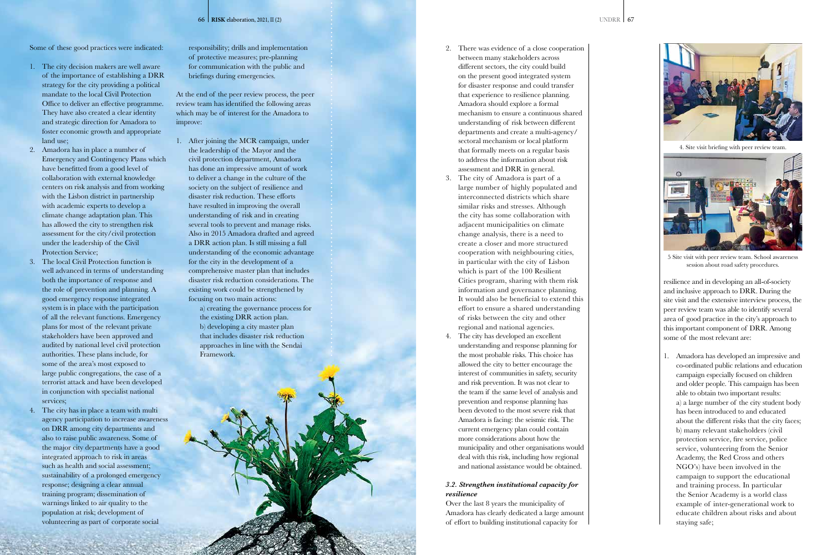Some of these good practices were indicated:

- 1. The city decision makers are well aware of the importance of establishing a DRR strategy for the city providing a political mandate to the local Civil Protection Office to deliver an effective programme. They have also created a clear identity and strategic direction for Amadora to foster economic growth and appropriate land use;
- 2. Amadora has in place a number of Emergency and Contingency Plans which have benefitted from a good level of collaboration with external knowledge centers on risk analysis and from working with the Lisbon district in partnership with academic experts to develop a climate change adaptation plan. This has allowed the city to strengthen risk assessment for the city/civil protection under the leadership of the Civil Protection Service;
- 3. The local Civil Protection function is well advanced in terms of understanding both the importance of response and the role of prevention and planning. A good emergency response integrated system is in place with the participation of all the relevant functions. Emergency plans for most of the relevant private stakeholders have been approved and audited by national level civil protection authorities. These plans include, for some of the area's most exposed to large public congregations, the case of a terrorist attack and have been developed in conjunction with specialist national services;
- 4. The city has in place a team with multi agency participation to increase awareness on DRR among city departments and also to raise public awareness. Some of the major city departments have a good integrated approach to risk in areas such as health and social assessment; sustainability of a prolonged emergency response; designing a clear annual training program; dissemination of warnings linked to air quality to the population at risk; development of volunteering as part of corporate social

responsibility; drills and implementation of protective measures; pre-planning for communication with the public and briefings during emergencies.

At the end of the peer review process, the peer review team has identified the following areas which may be of interest for the Amadora to improve:

1. After joining the MCR campaign, under the leadership of the Mayor and the civil protection department, Amadora has done an impressive amount of work to deliver a change in the culture of the society on the subject of resilience and disaster risk reduction. These efforts have resulted in improving the overall understanding of risk and in creating several tools to prevent and manage risks. Also in 2015 Amadora drafted and agreed a DRR action plan. Is still missing a full understanding of the economic advantage for the city in the development of a comprehensive master plan that includes disaster risk reduction considerations. The existing work could be strengthened by focusing on two main actions:

> a) creating the governance process for the existing DRR action plan. b) developing a city master plan that includes disaster risk reduction approaches in line with the Sendai Framework.

- 2. There was evidence of a close cooperation between many stakeholders across different sectors, the city could build on the present good integrated system for disaster response and could transfer that experience to resilience planning. Amadora should explore a formal mechanism to ensure a continuous shared understanding of risk between different departments and create a multi-agency/ sectoral mechanism or local platform that formally meets on a regular basis to address the information about risk assessment and DRR in general.
- 3. The city of Amadora is part of a large number of highly populated and interconnected districts which share similar risks and stresses. Although the city has some collaboration with adjacent municipalities on climate change analysis, there is a need to create a closer and more structured cooperation with neighbouring cities, in particular with the city of Lisbon which is part of the 100 Resilient Cities program, sharing with them risk information and governance planning. It would also be beneficial to extend this effort to ensure a shared understanding of risks between the city and other regional and national agencies.
- 4. The city has developed an excellent understanding and response planning for the most probable risks. This choice has allowed the city to better encourage the interest of communities in safety, security and risk prevention. It was not clear to the team if the same level of analysis and prevention and response planning has been devoted to the most severe risk that Amadora is facing: the seismic risk. The current emergency plan could contain more considerations about how the municipality and other organisations would deal with this risk, including how regional and national assistance would be obtained.

## *3.2. Strengthen institutional capacity for resilience*

Over the last 8 years the municipality of Amadora has clearly dedicated a large amount of effort to building institutional capacity for

resilience and in developing an all-of-society and inclusive approach to DRR. During the site visit and the extensive interview process, the peer review team was able to identify several area of good practice in the city's approach to this important component of DRR. Among some of the most relevant are:

1. Amadora has developed an impressive and co-ordinated public relations and education campaign especially focused on children and older people. This campaign has been able to obtain two important results: a) a large number of the city student body has been introduced to and educated about the different risks that the city faces; b) many relevant stakeholders (civil protection service, fire service, police service, volunteering from the Senior Academy, the Red Cross and others NGO's) have been involved in the campaign to support the educational and training process. In particular the Senior Academy is a world class example of inter-generational work to educate children about risks and about staying safe;



4. Site visit briefing with peer review team.

5 Site visit with peer review team. School awareness session about road safety procedures.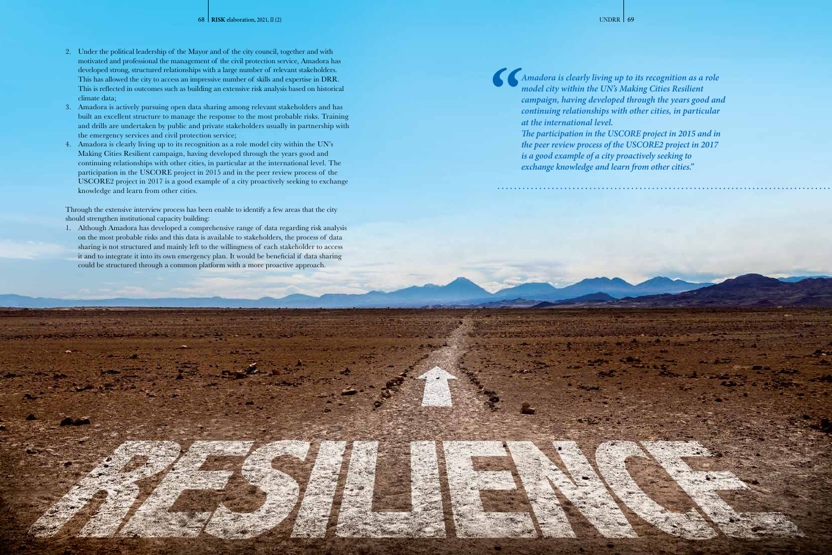- 2. Under the political leadership of the Mayor and of the city council, together and with motivated and professional the management of the civil protection service, Amadora has developed strong, structured relationships with a large number of relevant stakeholders. This has allowed the city to access an impressive number of skills and expertise in DRR. This is reflected in outcomes such as building an extensive risk analysis based on historical climate data;
- 3. Amadora is actively pursuing open data sharing among relevant stakeholders and has built an excellent structure to manage the response to the most probable risks. Training and drills are undertaken by public and private stakeholders usually in partnership with the emergency services and civil protection service;
- 4. Amadora is clearly living up to its recognition as a role model city within the UN's Making Cities Resilient campaign, having developed through the years good and continuing relationships with other cities, in particular at the international level. The participation in the USCORE project in 2015 and in the peer review process of the USCORE2 project in 2017 is a good example of a city proactively seeking to exchange knowledge and learn from other cities.

Through the extensive interview process has been enable to identify a few areas that the city should strengthen institutional capacity building:

1. Although Amadora has developed a comprehensive range of data regarding risk analysis on the most probable risks and this data is available to stakeholders, the process of data sharing is not structured and mainly left to the willingness of each stakeholder to access it and to integrate it into its own emergency plan. It would be beneficial if data sharing could be structured through a common platform with a more proactive approach.

*"*



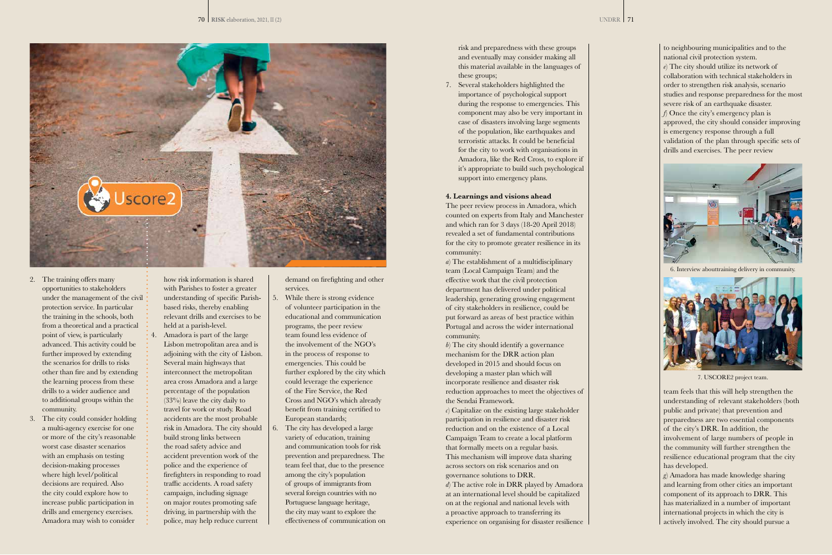

- 2. The training offers many opportunities to stakeholders under the management of the civil protection service. In particular the training in the schools, both from a theoretical and a practical point of view, is particularly advanced. This activity could be further improved by extending the scenarios for drills to risks other than fire and by extending the learning process from these drills to a wider audience and to additional groups within the community.
- 3. The city could consider holding a multi-agency exercise for one or more of the city's reasonable worst case disaster scenarios with an emphasis on testing decision-making processes where high level/political decisions are required. Also the city could explore how to increase public participation in drills and emergency exercises. Amadora may wish to consider

how risk information is shared with Parishes to foster a greater understanding of specific Parishbased risks, thereby enabling relevant drills and exercises to be held at a parish-level.

4. Amadora is part of the large Lisbon metropolitan area and is adjoining with the city of Lisbon. Several main highways that interconnect the metropolitan area cross Amadora and a large percentage of the population (33%) leave the city daily to travel for work or study. Road accidents are the most probable risk in Amadora. The city should build strong links between the road safety advice and accident prevention work of the police and the experience of firefighters in responding to road traffic accidents. A road safety campaign, including signage on major routes promoting safe driving, in partnership with the police, may help reduce current

demand on firefighting and other services.

> *b*) The city should identify a governance mechanism for the DRR action plan developed in 2015 and should focus on developing a master plan which will incorporate resilience and disaster risk reduction approaches to meet the objectives of the Sendai Framework.

- 5. While there is strong evidence of volunteer participation in the educational and communication programs, the peer review team found less evidence of the involvement of the NGO's in the process of response to emergencies. This could be further explored by the city which could leverage the experience of the Fire Service, the Red Cross and NGO's which already benefit from training certified to European standards;
- 6. The city has developed a large variety of education, training and communication tools for risk prevention and preparedness. The team feel that, due to the presence among the city's population of groups of immigrants from several foreign countries with no Portuguese language heritage, the city may want to explore the effectiveness of communication on

risk and preparedness with these groups and eventually may consider making all this material available in the languages of these groups;

7. Several stakeholders highlighted the importance of psychological support during the response to emergencies. This component may also be very important in case of disasters involving large segments of the population, like earthquakes and terroristic attacks. It could be beneficial for the city to work with organisations in Amadora, like the Red Cross, to explore if it's appropriate to build such psychological support into emergency plans.

#### **4. Learnings and visions ahead**

The peer review process in Amadora, which counted on experts from Italy and Manchester and which ran for 3 days (18-20 April 2018) revealed a set of fundamental contributions for the city to promote greater resilience in its community:

*a*) The establishment of a multidisciplinary team (Local Campaign Team) and the effective work that the civil protection department has delivered under political leadership, generating growing engagement of city stakeholders in resilience, could be put forward as areas of best practice within Portugal and across the wider international community.

*c*) Capitalize on the existing large stakeholder participation in resilience and disaster risk reduction and on the existence of a Local Campaign Team to create a local platform that formally meets on a regular basis. This mechanism will improve data sharing across sectors on risk scenarios and on governance solutions to DRR.

*d*) The active role in DRR played by Amadora at an international level should be capitalized on at the regional and national levels with a proactive approach to transferring its experience on organising for disaster resilience

to neighbouring municipalities and to the national civil protection system. *e*) The city should utilize its network of collaboration with technical stakeholders in order to strengthen risk analysis, scenario studies and response preparedness for the most severe risk of an earthquake disaster. *f*) Once the city's emergency plan is approved, the city should consider improving is emergency response through a full validation of the plan through specific sets of drills and exercises. The peer review

team feels that this will help strengthen the understanding of relevant stakeholders (both public and private) that prevention and preparedness are two essential components of the city's DRR. In addition, the involvement of large numbers of people in the community will further strengthen the resilience educational program that the city has developed.

*g*) Amadora has made knowledge sharing and learning from other cities an important component of its approach to DRR. This has materialized in a number of important international projects in which the city is actively involved. The city should pursue a



6. Interview abouttraining delivery in community.



7. USCORE2 project team.